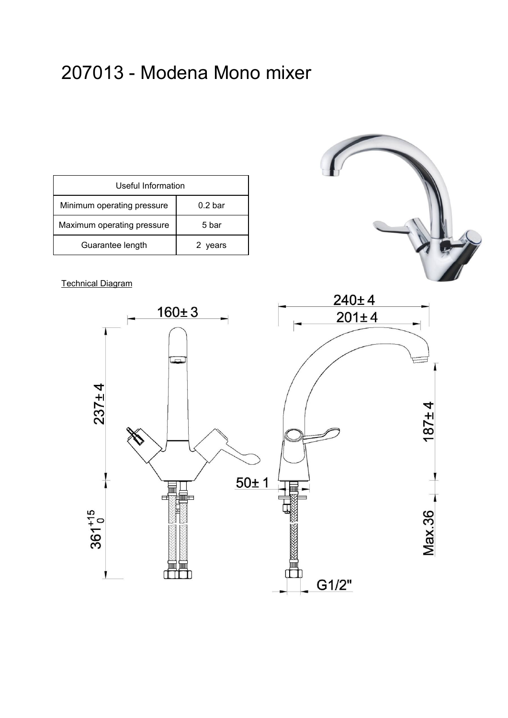# 207013 - Modena Mono mixer

| Useful Information         |                    |  |  |  |
|----------------------------|--------------------|--|--|--|
| Minimum operating pressure | 0.2 <sub>bar</sub> |  |  |  |
| Maximum operating pressure | 5 bar              |  |  |  |
| Guarantee length           | 2 years            |  |  |  |

### Technical Diagram



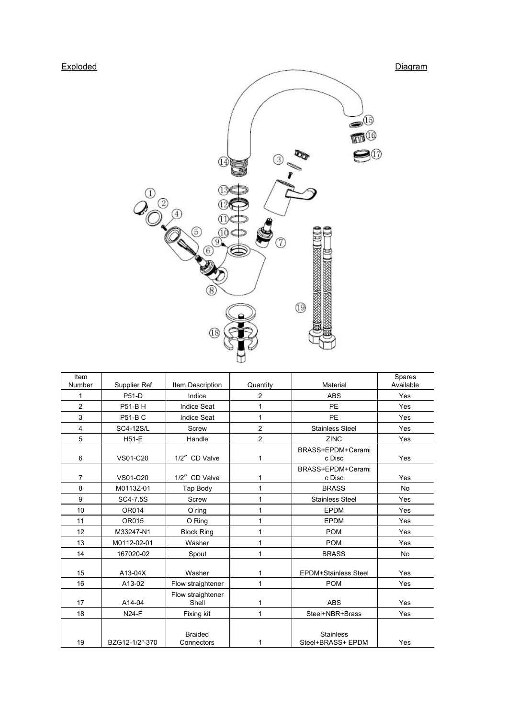

| Item<br>Number | Supplier Ref     | Item Description             | Quantity       | Material                              | Spares<br>Available |
|----------------|------------------|------------------------------|----------------|---------------------------------------|---------------------|
| 1              | P51-D            | Indice                       | $\overline{c}$ | <b>ABS</b>                            | Yes                 |
| $\overline{2}$ | P51-BH           | <b>Indice Seat</b>           | 1              | PE                                    | Yes                 |
| 3              | <b>P51-BC</b>    | <b>Indice Seat</b>           | 1              | <b>PE</b>                             | Yes                 |
| 4              | <b>SC4-12S/L</b> | Screw                        | $\overline{c}$ | <b>Stainless Steel</b>                | Yes                 |
| 5              | <b>H51-E</b>     | Handle                       | $\overline{c}$ | <b>ZINC</b>                           | Yes                 |
| 6              | VS01-C20         | 1/2" CD Valve                | 1              | BRASS+EPDM+Cerami<br>c Disc           | Yes                 |
| $\overline{7}$ | VS01-C20         | 1/2" CD Valve                | 1              | BRASS+EPDM+Cerami<br>c Disc           | Yes                 |
| 8              | M0113Z-01        | Tap Body                     | 1              | <b>BRASS</b>                          | <b>No</b>           |
| 9              | SC4-7.5S         | Screw                        | 1              | <b>Stainless Steel</b>                | Yes                 |
| 10             | OR014            | $O$ ring                     | 1              | <b>EPDM</b>                           | Yes                 |
| 11             | OR015            | O Ring                       | 1              | <b>EPDM</b>                           | Yes                 |
| 12             | M33247-N1        | <b>Block Ring</b>            | 1              | <b>POM</b>                            | Yes                 |
| 13             | M0112-02-01      | Washer                       | 1              | <b>POM</b>                            | Yes                 |
| 14             | 167020-02        | Spout                        | 1              | <b>BRASS</b>                          | <b>No</b>           |
| 15             | $A13-04X$        | Washer                       | 1              | <b>EPDM+Stainless Steel</b>           | Yes                 |
| 16             | A13-02           | Flow straightener            | 1              | <b>POM</b>                            | Yes                 |
| 17             | A14-04           | Flow straightener<br>Shell   | 1              | <b>ABS</b>                            | Yes                 |
| 18             | <b>N24-F</b>     | Fixing kit                   | 1              | Steel+NBR+Brass                       | Yes                 |
| 19             | BZG12-1/2"-370   | <b>Braided</b><br>Connectors | 1              | <b>Stainless</b><br>Steel+BRASS+ EPDM | Yes                 |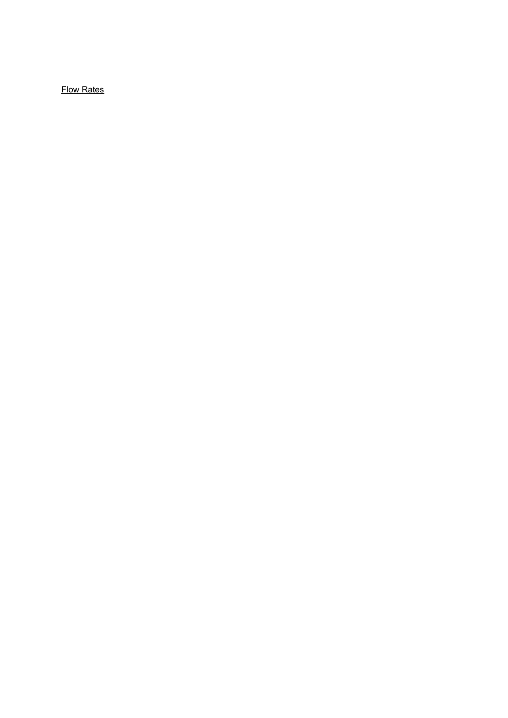Flow Rates